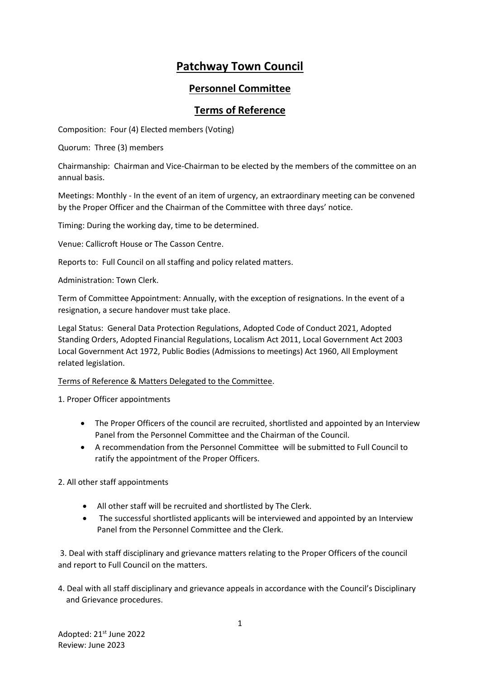## **Patchway Town Council**

## **Personnel Committee**

## **Terms of Reference**

Composition: Four (4) Elected members (Voting)

Quorum: Three (3) members

Chairmanship: Chairman and Vice-Chairman to be elected by the members of the committee on an annual basis.

Meetings: Monthly - In the event of an item of urgency, an extraordinary meeting can be convened by the Proper Officer and the Chairman of the Committee with three days' notice.

Timing: During the working day, time to be determined.

Venue: Callicroft House or The Casson Centre.

Reports to: Full Council on all staffing and policy related matters.

Administration: Town Clerk.

Term of Committee Appointment: Annually, with the exception of resignations. In the event of a resignation, a secure handover must take place.

Legal Status: General Data Protection Regulations, Adopted Code of Conduct 2021, Adopted Standing Orders, Adopted Financial Regulations, Localism Act 2011, Local Government Act 2003 Local Government Act 1972, Public Bodies (Admissions to meetings) Act 1960, All Employment related legislation.

Terms of Reference & Matters Delegated to the Committee.

1. Proper Officer appointments

- The Proper Officers of the council are recruited, shortlisted and appointed by an Interview Panel from the Personnel Committee and the Chairman of the Council.
- A recommendation from the Personnel Committee will be submitted to Full Council to ratify the appointment of the Proper Officers.

2. All other staff appointments

- All other staff will be recruited and shortlisted by The Clerk.
- The successful shortlisted applicants will be interviewed and appointed by an Interview Panel from the Personnel Committee and the Clerk.

3. Deal with staff disciplinary and grievance matters relating to the Proper Officers of the council and report to Full Council on the matters.

4. Deal with all staff disciplinary and grievance appeals in accordance with the Council's Disciplinary and Grievance procedures.